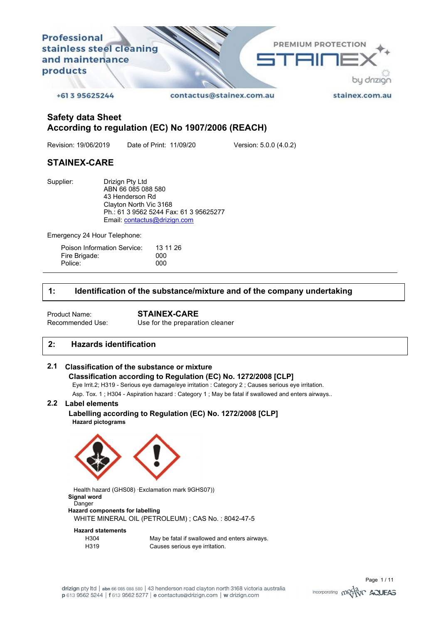

**Safety data Sheet According to regulation (EC) No 1907/2006 (REACH)** 

Revision: 19/06/2019 Date of Print: 11/09/20 Version: 5.0.0 (4.0.2)

# **STAINEX-CARE**

Supplier: Drizign Pty Ltd ABN 66 085 088 580 43 Henderson Rd Clayton North Vic 3168 Ph.: 61 3 9562 5244 Fax: 61 3 95625277 Email: contactus@drizign.com

Emergency 24 Hour Telephone:

| Poison Information Service: | 13 11 26 |
|-----------------------------|----------|
| Fire Brigade:               | 000      |
| Police:                     | 000      |

# **1: Identification of the substance/mixture and of the company undertaking**

Product Name: **STAINEX-CARE**  Use for the preparation cleaner

# **2: Hazards identification**

# **2.1 Classification of the substance or mixture**

## **Classification according to Regulation (EC) No. 1272/2008 [CLP]**

Eye Irrit.2; H319 - Serious eye damage/eye irritation : Category 2 ; Causes serious eye irritation.

Asp. Tox. 1 ; H304 - Aspiration hazard : Category 1 ; May be fatal if swallowed and enters airways..

# **2.2 Label elements**

### **Labelling according to Regulation (EC) No. 1272/2008 [CLP] Hazard pictograms**



Health hazard (GHS08) · Exclamation mark 9GHS07)) **Signal word**  Danger **Hazard components for labelling** 

WHITE MINERAL OIL (PETROLEUM) ; CAS No. : 8042-47-5

# **Hazard statements**

| H304 | May be fatal if swallowed and enters airways. |
|------|-----------------------------------------------|
| H319 | Causes serious eye irritation.                |

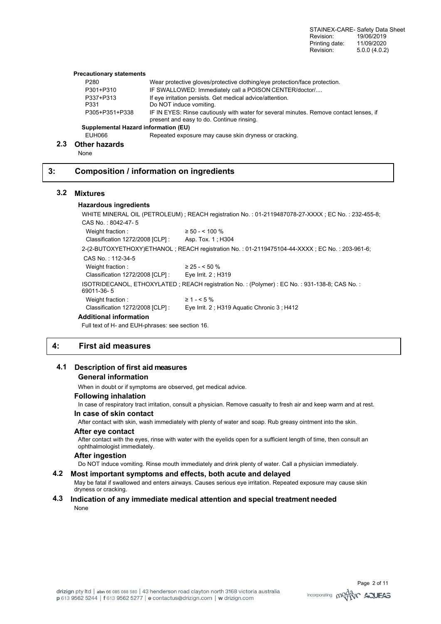STAINEX-CARE- Safety Data Sheet Revision: 19/06/2019<br>Printing date: 11/09/2020 Printing date: Revision: 5.0.0 (4.0.2)

#### **Precautionary statements**

| P280                                        | Wear protective gloves/protective clothing/eye protection/face protection.                                                          |
|---------------------------------------------|-------------------------------------------------------------------------------------------------------------------------------------|
| P301+P310                                   | IF SWALLOWED: Immediately call a POISON CENTER/doctor/                                                                              |
| P337+P313                                   | If eye irritation persists. Get medical advice/attention.                                                                           |
| P331                                        | Do NOT induce vomiting.                                                                                                             |
| P305+P351+P338                              | IF IN EYES: Rinse cautiously with water for several minutes. Remove contact lenses, if<br>present and easy to do. Continue rinsing. |
| <b>Supplemental Hazard information (EU)</b> |                                                                                                                                     |
| FUH066                                      | Repeated exposure may cause skin dryness or cracking                                                                                |

#### **2.3 Other hazards**

**None** 

## **3: Composition / information on ingredients**

### **3.2 Mixtures**

#### **Hazardous ingredients**

WHITE MINERAL OIL (PETROLEUM) ; REACH registration No. : 01-2119487078-27-XXXX ; EC No. : 232-455-8; CAS No. : 8042-47- 5 Weight fraction :  $\geq 50 - 100\%$ Classification 1272/2008 [CLP] : Asp. Tox. 1 ; H304 2-(2-BUTOXYETHOXY)ETHANOL ; REACH registration No. : 01-2119475104-44-XXXX ; EC No. : 203-961-6; CAS No. : 112-34-5 Weight fraction :  $\geq 25 - 50\%$ Classification 1272/2008 [CLP] : Eye Irrit. 2 ; H319 ISOTRIDECANOL, ETHOXYLATED ; REACH registration No. : (Polymer) : EC No. : 931-138-8; CAS No. : 69011-36- 5 Weight fraction :  $\geq 1 - 5\%$ Classification 1272/2008 [CLP] : Eye Irrit. 2 ; H319 Aquatic Chronic 3 ; H412 **Additional information** 

Full text of H- and EUH-phrases: see section 16.

# **4: First aid measures**

#### **4.1 Description of first aid measures**

#### **General information**

When in doubt or if symptoms are observed, get medical advice.

#### **Following inhalation**

In case of respiratory tract irritation, consult a physician. Remove casualty to fresh air and keep warm and at rest.

### **In case of skin contact**

After contact with skin, wash immediately with plenty of water and soap. Rub greasy ointment into the skin.

#### **After eye contact**

After contact with the eyes, rinse with water with the eyelids open for a sufficient length of time, then consult an ophthalmologist immediately.

#### **After ingestion**

Do NOT induce vomiting. Rinse mouth immediately and drink plenty of water. Call a physician immediately.

## **4.2 Most important symptoms and effects, both acute and delayed**

May be fatal if swallowed and enters airways. Causes serious eye irritation. Repeated exposure may cause skin dryness or cracking.

#### **4.3 Indication of any immediate medical attention and special treatment needed**  None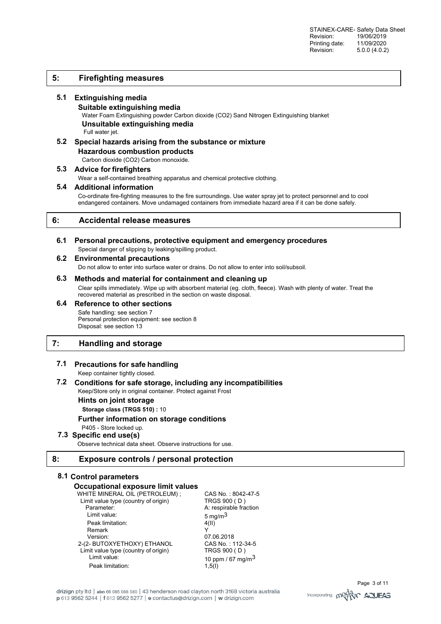# **5: Firefighting measures**

## **5.1 Extinguishing media**

**Suitable extinguishing media**  Water Foam Extinguishing powder Carbon dioxide (CO2) Sand Nitrogen Extinguishing blanket **Unsuitable extinguishing media**  Full water jet.

**5.2 Special hazards arising from the substance or mixture Hazardous combustion products**  Carbon dioxide (CO2) Carbon monoxide.

#### **5.3 Advice for firefighters**

Wear a self-contained breathing apparatus and chemical protective clothing.

### **5.4 Additional information**

Co-ordinate fire-fighting measures to the fire surroundings. Use water spray jet to protect personnel and to cool endangered containers. Move undamaged containers from immediate hazard area if it can be done safely.

## **6: Accidental release measures**

### **6.1 Personal precautions, protective equipment and emergency procedures**  Special danger of slipping by leaking/spilling product.

## **6.2 Environmental precautions**

Do not allow to enter into surface water or drains. Do not allow to enter into soil/subsoil.

## **6.3 Methods and material for containment and cleaning up**

Clear spills immediately. Wipe up with absorbent material (eg. cloth, fleece). Wash with plenty of water. Treat the recovered material as prescribed in the section on waste disposal.

# **6.4 Reference to other sections**  Safe handling: see section 7

Personal protection equipment: see section 8 Disposal: see section 13

# **7: Handling and storage**

## **7.1 Precautions for safe handling**

Keep container tightly closed.

#### **7.2 Conditions for safe storage, including any incompatibilities**  Keep/Store only in original container. Protect against Frost

**Hints on joint storage** 

**Storage class (TRGS 510) :** 10

## **Further information on storage conditions**

P405 - Store locked up.

# **7.3 Specific end use(s)**

Observe technical data sheet. Observe instructions for use.

## **8: Exposure controls / personal protection**

## **8.1 Control parameters**

## **Occupational exposure limit values**

| WHITE MINERAL OIL (PETROLEUM);       | CAS No.: 8042-47-5     |
|--------------------------------------|------------------------|
| Limit value type (country of origin) | TRGS 900 (D)           |
| Parameter:                           | A: respirable fraction |
| Limit value:                         | 5 mg/m $3$             |
| Peak limitation:                     | 4(II)                  |
| Remark                               |                        |
| Version:                             | 07.06.2018             |
| 2-(2- BUTOXYETHOXY) ETHANOL          | CAS No.: 112-34-5      |
| Limit value type (country of origin) | TRGS 900 (D)           |
| Limit value:                         | 10 ppm / 67 mg/m $3$   |
| Peak limitation:                     | 1,5(1)                 |

drizign pty ltd | abn 66 085 088 580 | 43 henderson road clayton north 3168 victoria australia p 613 9562 5244 | f 613 9562 5277 | e contactus@drizign.com | w drizign.com

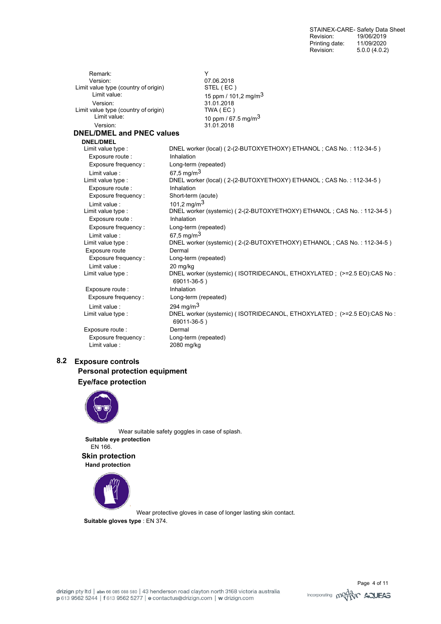Remark: Y 07.06.2018<br>STEL (EC) Limit value type (country of origin) Limit value: 15 ppm / 101,2 mg/m<sup>3</sup><br>Version: 15 ppm / 101,2 mg/m<sup>3</sup> 31.01.2018<br>TWA (EC) Limit value type (country of origin)<br>Limit value: Limit value: 10 ppm / 67.5 mg/m<sup>3</sup><br>Version: 11 01 2018 Version: 31.01.2018 **DNEL/DMEL and PNEC values DNEL/DMEL**<br>Limit value type : DNEL worker (local) ( 2-(2-BUTOXYETHOXY) ETHANOL ; CAS No. : 112-34-5 ) Exposure route : Inhalation Exposure frequency : Long-term (repeated) Limit value :  $67.5 \text{ mg/m}^3$ Limit value type : DNEL worker (local) ( 2-(2-BUTOXYETHOXY) ETHANOL ; CAS No. : 112-34-5 ) Exposure route : Inhalation Exposure frequency : Short-term (acute) Limit value :  $101,2 \text{ mg/m}^3$ Limit value type : DNEL worker (systemic) ( 2-(2-BUTOXYETHOXY) ETHANOL ; CAS No. : 112-34-5 ) Exposure route : Inhalation Exposure frequency : Long-term (repeated) Limit value :  $67.5 \text{ mg/m}^3$ Limit value type : DNEL worker (systemic) ( 2-(2-BUTOXYETHOXY) ETHANOL ; CAS No. : 112-34-5 ) Exposure route Dermal Exposure frequency : Long-term (repeated) Limit value : 20 mg/kg Limit value type : DNEL worker (systemic) ( ISOTRIDECANOL, ETHOXYLATED ; (>=2.5 EO):CAS No : 69011-36-5 ) Exposure route : Inhalation Exposure frequency : Long-term (repeated) Limit value : 294 mg/m<sup>3</sup><br>Limit value type : 294 DNEL work DNEL worker (systemic) ( ISOTRIDECANOL, ETHOXYLATED : (>=2.5 EO):CAS No : 69011-36-5 ) Exposure route : Dermal Exposure frequency : Long-term (repeated) Limit value : 2080 mg/kg

# **8.2 Exposure controls Personal protection equipment**

**Eye/face protection** 



Wear suitable safety goggles in case of splash. **Suitable eye protection**  EN 166.

**Skin protection Hand protection** 



 Wear protective gloves in case of longer lasting skin contact. **Suitable gloves type** : EN 374.

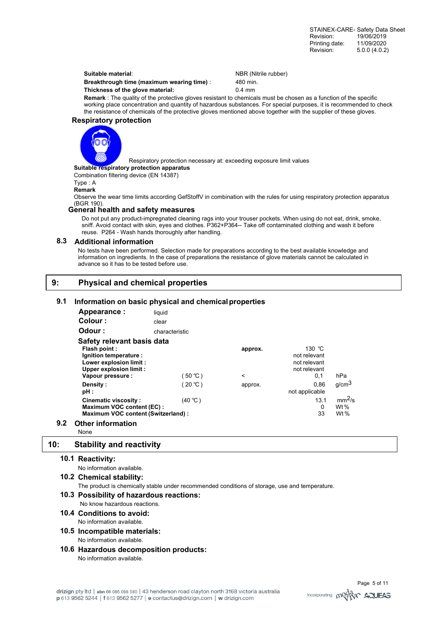**Suitable material:** NBR (Nitrile rubber)

**Breakthrough time (maximum wearing time)** : 480 min. **Thickness of the glove material:** 0.4 mm

**Remark** : The quality of the protective gloves resistant to chemicals must be chosen as a function of the specific working place concentration and quantity of hazardous substances. For special purposes, it is recommended to check the resistance of chemicals of the protective gloves mentioned above together with the supplier of these gloves.

## **Respiratory protection**



Respiratory protection necessary at: exceeding exposure limit values

## **Suitable respiratory protection apparatus**

Combination filtering device (EN 14387)

Type : A

### **Remark**

 Observe the wear time limits according GefStoffV in combination with the rules for using respiratory protection apparatus (BGR 190).

## **General health and safety measures**

Do not put any product-impregnated cleaning rags into your trouser pockets. When using do not eat, drink, smoke, sniff. Avoid contact with skin, eyes and clothes. P362+P364-- Take off contaminated clothing and wash it before reuse. P264 - Wash hands thoroughly after handling.

## **8.3 Additional information**

No tests have been performed. Selection made for preparations according to the best available knowledge and information on ingredients. In the case of preparations the resistance of glove materials cannot be calculated in advance so it has to be tested before use.

## **9: Physical and chemical properties**

### **9.1 Information on basic physical and chemical properties**

| Appearance:                                                                                                             | liquid         |                    |                                                                         |                                        |
|-------------------------------------------------------------------------------------------------------------------------|----------------|--------------------|-------------------------------------------------------------------------|----------------------------------------|
| Colour:                                                                                                                 | clear          |                    |                                                                         |                                        |
| Odour:                                                                                                                  | characteristic |                    |                                                                         |                                        |
| Safety relevant basis data                                                                                              |                |                    |                                                                         |                                        |
| Flash point:<br>Ignition temperature :<br>Lower explosion limit :<br><b>Upper explosion limit:</b><br>Vapour pressure : | ່ 50 ℃ )       | approx.<br>$\,<\,$ | 130 $^{\circ}$ C<br>not relevant<br>not relevant<br>not relevant<br>0.1 | hPa                                    |
| Density:<br>pH:                                                                                                         | (20 ℃ )        | approx.            | 0.86<br>not applicable                                                  | g/cm <sup>3</sup>                      |
| <b>Cinematic viscosity:</b><br>Maximum VOC content (EC):<br>Maximum VOC content (Switzerland) :                         | (40 °C)        |                    | 13.1<br>0<br>33                                                         | mm <sup>2</sup> /s<br>Wt $%$<br>Wt $%$ |
| 9.2<br><b>Other information</b>                                                                                         |                |                    |                                                                         |                                        |

None

# **10: Stability and reactivity**

# **10.1 Reactivity:**

No information available.

**10.2 Chemical stability:** 

The product is chemically stable under recommended conditions of storage, use and temperature.

#### **10.3 Possibility of hazardous reactions:** No know hazardous reactions.

- **10.4Conditions to avoid:**
	- No information available.
- **10.5 Incompatible materials:** No information available.
- **10.6Hazardous decomposition products:** No information available.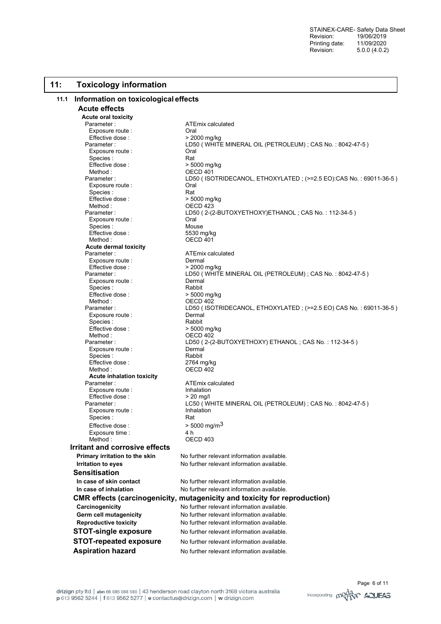## **11: Toxicology information**

### **11.1 Information on toxicological effects**

**Acute effects** 

**Acute oral toxicity**  Parameter : ATEmix calculated Exposure route : Oral Effective dose :<br>Parameter : Exposure route : Call Coral<br>
Species : Call Coral Rat Species :<br>Fffective dose : Method : CONTENT CONTENT OF CONTENT OF CONTENT OF CONTENT OF THE OF THE OF THE OF THE OF THE OF THE OF THE OF THE OF THE OF THE OF THE OF THE OF THE OF THE OF THE OF THE OF THE OF THE OF THE OF THE OF THE OF THE OF THE OF Exposure route : The Coral Coral Species : Rat Effective dose :  $> 5000$  mg/kg<br>Method :  $OECD 423$ Exposure route : Coral Species : Mouse<br>
Effective dose : China by the S530 ma/ka Effective dose : Method : OECD 401 **Acute dermal toxicity**  Parameter : <br>
Fxnosure route : ATEmix calculated<br>
Dermal Exposure route :<br>Effective dose : <br>
> 2000 mg/kg Effective dose : Exposure route : Species : Rabbit Effective dose :  $>$  5000 mg/kg Method : 0ECD 402<br>Parameter : 1990 LD50 (180 Exposure route : Species : Rabbit<br>Effective dose : Rabbit > 5000 mg/kg Effective dose :<br>Method : Exposure route : Dermal<br>
Species : Special Rabbit Species : Rabbit  $E$ ffective dose : Method : COMPOSED 402 **Acute inhalation toxicity**  Exposure route : The latter inhalation Effective dose :  $> 20$  mg/l Exposure route : Species : Rat Effective dose :  $>$  5000 mg/m<sup>3</sup><br>Exposure time :  $\frac{4 \text{ h}}{2 \text{ h}}$ Exposure time : Method : COMPOSED 403 **Irritant and corrosive effects Sensitisation** 

LD50 ( WHITE MINERAL OIL (PETROLEUM) ; CAS No. : 8042-47-5)  $> 5000$  mg/kg Parameter : LD50 ( ISOTRIDECANOL, ETHOXYLATED ; (>=2.5 EO):CAS No. : 69011-36-5 ) OECD 423 Parameter : LD50 ( 2-(2-BUTOXYETHOXY)ETHANOL ; CAS No. : 112-34-5 ) Parameter : LD50 ( WHITE MINERAL OIL (PETROLEUM) ; CAS No. : 8042-47-5 )<br>Fxposure route : Remal LD50 ( ISOTRIDECANOL, ETHOXYLATED ; (>=2.5 EO) CAS No. : 69011-36-5 )<br>Dermal OECD 402 Parameter : LD50 ( 2-(2-BUTOXYETHOXY) ETHANOL ; CAS No. : 112-34-5 ) **ATEmix calculated** Parameter : LC50 ( WHITE MINERAL OIL (PETROLEUM) ; CAS No. : 8042-47-5 )<br>Exposure route : lnhalation **Primary irritation to the skin** No further relevant information available. **Irritation to eyes** No further relevant information available. **In case of skin contact** No further relevant information available. **In case of inhalation No further relevant information available. CMR effects (carcinogenicity, mutagenicity and toxicity for reproduction) Carcinogenicity No further relevant information available. Germ cell mutagenicity** No further relevant information available. **Reproductive toxicity No further relevant information available. STOT-single exposure** No further relevant information available. **STOT-repeated exposure** No further relevant information available. **Aspiration hazard** No further relevant information available.

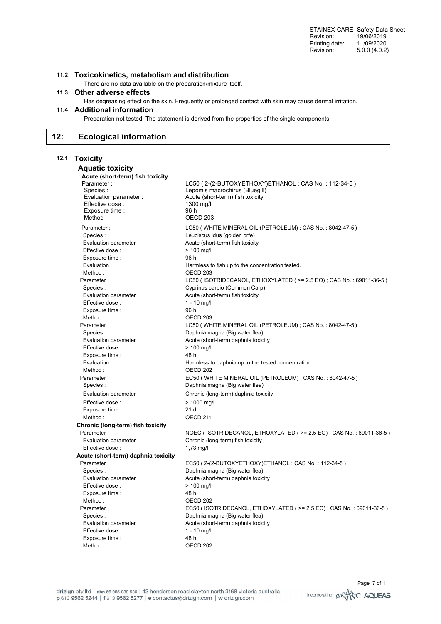STAINEX-CARE- Safety Data Sheet Revision: 19/06/2019<br>Printing date: 11/09/2020 Printing date: Revision: 5.0.0 (4.0.2)

## **11.2 Toxicokinetics, metabolism and distribution**

There are no data available on the preparation/mixture itself.

## **11.3 Other adverse effects**

Has degreasing effect on the skin. Frequently or prolonged contact with skin may cause dermal irritation.

# **11.4 Additional information**

Preparation not tested. The statement is derived from the properties of the single components.

### **12: Ecological information**

# **12.1 Toxicity**

#### **Aquatic toxicity Acute (short-term) fish toxicity**  Parameter : LOS (2-(2-BUTOXYETHOXY)ETHANOL ; CAS No. : 112-34-5 )<br>Parameter : Lepomis macrochirus (Bluegill) Lepomis macrochirus (Bluegill) Evaluation parameter : Acute (short-term) fish toxicity Effective dose : 1300 mg/l Exposure time : 96 h Method : OECD 203 Parameter : LC50 ( WHITE MINERAL OIL (PETROLEUM) ; CAS No. : 8042-47-5 ) Species : Leuciscus idus (golden orfe) Evaluation parameter : <br>Acute (short-term) fish toxicity Effective dose :  $> 100$  mg/l Exposure time : 96 h Evaluation : Harmless to fish up to the concentration tested. Method : COME CONTROLLER SOMETIME OF A SAFEKEEPING SOFT A SAFEKEEPING SOFT A SAFEKEEPING SOFT A SAFEKEEPING SOFT A SAFEKEEPING SOFT A SAFEKEEPING SOFT A SAFEKEEPING SOFT A SAFEKEEPING SOFT A SAFEKEEPING SOFT A SAFEKEEPING Parameter : LC50 ( ISOTRIDECANOL, ETHOXYLATED ( >= 2.5 EO) ; CAS No. : 69011-36-5 ) Species : Cyprinus carpio (Common Carp) Evaluation parameter : <br>Acute (short-term) fish toxicity Effective dose : 1 - 10 mg/l Exposure time : 96 h Method : COMPOSED 203 Parameter : LC50 ( WHITE MINERAL OIL (PETROLEUM) ; CAS No. : 8042-47-5 ) Species : Contract Communication of Daphnia magna (Big water flea) Evaluation parameter : <br>Acute (short-term) daphnia toxicity Effective dose :  $> 100$  ma/l Exposure time : 48 h Evaluation : **Evaluation** : **Harmless to daphnia up to the tested concentration**. Method : COME CONTROL CONTROL OF CONTROL CONTROL CONTROL CONTROL CONTROL CONTROL CONTROL CONTROL CONTROL CONTROL CONTROL CONTROL CONTROL CONTROL CONTROL CONTROL CONTROL CONTROL CONTROL CONTROL CONTROL CONTROL CONTROL CONTR Parameter : EC50 ( WHITE MINERAL OIL (PETROLEUM) ; CAS No. : 8042-47-5 ) Species : Daphnia magna (Big water flea) Evaluation parameter : Chronic (long-term) daphnia toxicity Effective dose :  $> 1000$  mg/l Exposure time : 21 d Method : COME CONTROLLER SOMETIME OF A SAFEKEEPING OF A SAFEKEEPING SOMETIME OF A SAFEKEEPING SOMETIME OF A SAFEKEEPING SOMETIME OF A SAFEKEEPING SOMETIME OF A SAFEKEEPING SOMETIME OF A SAFEKEEPING SOMETIME OF A SAFEKEEPIN **Chronic (long-term) fish toxicity**  Parameter : NOEC ( ISOTRIDECANOL, ETHOXYLATED ( >= 2.5 EO) ; CAS No. : 69011-36-5 ) Evaluation parameter : Chronic (long-term) fish toxicity Effective dose : 1,73 mg/l **Acute (short-term) daphnia toxicity**  Parameter : EC50 ( 2-(2-BUTOXYETHOXY)ETHANOL ; CAS No. : 112-34-5 ) Species : Daphnia magna (Big water flea) Evaluation parameter : <br>Acute (short-term) daphnia toxicity Effective dose :  $> 100$  mg/l Exposure time : 48 h Method : COME CONTROLLER SOMETIME OF A SAFEKEEPING SOMETIME OF A SAFEKEEPING SOMETIME OF A SAFEKEEPING SOMETIME OF A SAFEKEEPING SOMETIME OF A SAFEKEEPING SOMETIME OF A SAFEKEEPING SOMETIME OF A SAFEKEEPING SOMETIME OF A S Parameter : EC50 ( ISOTRIDECANOL, ETHOXYLATED ( >= 2.5 EO) ; CAS No. : 69011-36-5 ) Species : Contract Community Community Daphnia magna (Big water flea) Evaluation parameter : <br>Acute (short-term) daphnia toxicity Effective dose : 1 - 10 mg/l Exposure time : 48 h Method : CECD 202

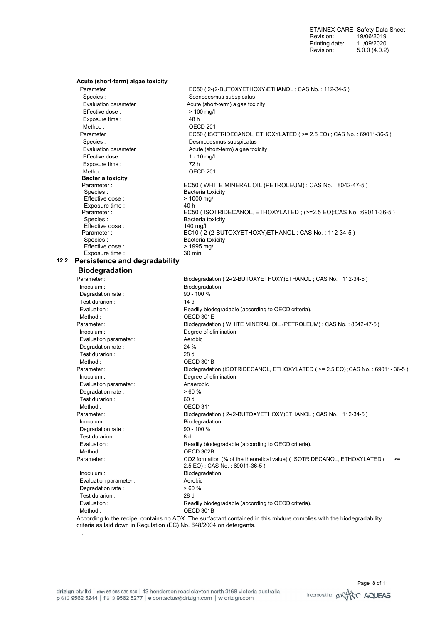STAINEX-CARE- Safety Data Sheet Revision: 19/06/2019 Printing date: 11/09/2020 Revision: 5.0.0 (4.0.2)

| Acute (short-term) algae toxicity<br>Parameter: | EC50 (2-(2-BUTOXYETHOXY)ETHANOL; CAS No.: 112-34-5)                                                               |
|-------------------------------------------------|-------------------------------------------------------------------------------------------------------------------|
| Species:                                        | Scenedesmus subspicatus                                                                                           |
| Evaluation parameter :                          | Acute (short-term) algae toxicity                                                                                 |
| Effective dose :                                | $> 100$ mg/l                                                                                                      |
| Exposure time :                                 | 48 h                                                                                                              |
| Method:                                         | OECD <sub>201</sub>                                                                                               |
| Parameter:                                      | EC50 (ISOTRIDECANOL, ETHOXYLATED ( >= 2.5 EO) ; CAS No.: 69011-36-5)                                              |
| Species :                                       | Desmodesmus subspicatus                                                                                           |
| Evaluation parameter :                          | Acute (short-term) algae toxicity                                                                                 |
| Effective dose:                                 | $1 - 10$ mg/l                                                                                                     |
| Exposure time :                                 | 72 h                                                                                                              |
| Method:                                         | OECD <sub>201</sub>                                                                                               |
| <b>Bacteria toxicity</b>                        |                                                                                                                   |
| Parameter:                                      | EC50 (WHITE MINERAL OIL (PETROLEUM); CAS No.: 8042-47-5)                                                          |
| Species:                                        | Bacteria toxicity                                                                                                 |
| Effective dose:                                 | > 1000 mg/l                                                                                                       |
| Exposure time :                                 | 40 h                                                                                                              |
| Parameter:                                      | EC50 (ISOTRIDECANOL, ETHOXYLATED; (>=2.5 EO):CAS No.: 69011-36-5)                                                 |
| Species:                                        | Bacteria toxicity                                                                                                 |
| Effective dose:                                 | 140 mg/l                                                                                                          |
| Parameter:                                      | EC10 (2-(2-BUTOXYETHOXY)ETHANOL; CAS No.: 112-34-5)                                                               |
| Species:                                        | Bacteria toxicity                                                                                                 |
| Effective dose:<br>Exposure time :              | $> 1995 \,\mathrm{mg/l}$<br>30 min                                                                                |
|                                                 |                                                                                                                   |
| 12.2 Persistence and degradability              |                                                                                                                   |
| <b>Biodegradation</b>                           |                                                                                                                   |
| Parameter:                                      | Biodegradation (2-(2-BUTOXYETHOXY)ETHANOL; CAS No.: 112-34-5)                                                     |
| Inoculum:                                       | Biodegradation                                                                                                    |
| Degradation rate :                              | 90 - 100 %                                                                                                        |
| Test durarion:                                  | 14 d                                                                                                              |
| Evaluation:                                     | Readily biodegradable (according to OECD criteria).                                                               |
| Method:                                         | OECD 301E                                                                                                         |
| Parameter:                                      | Biodegradation (WHITE MINERAL OIL (PETROLEUM); CAS No.: 8042-47-5)                                                |
| Inoculum:                                       | Degree of elimination                                                                                             |
| Evaluation parameter :                          | Aerobic                                                                                                           |
| Degradation rate :                              | 24 %                                                                                                              |
| Test durarion :                                 | 28 d                                                                                                              |
| Method:                                         | OECD 301B                                                                                                         |
| Parameter:                                      | Biodegradation (ISOTRIDECANOL, ETHOXYLATED (>= 2.5 EO);CAS No.: 69011-36-5)                                       |
| Inoculum:                                       | Degree of elimination                                                                                             |
| Evaluation parameter :                          | Anaerobic                                                                                                         |
| Degradation rate:                               | >60%                                                                                                              |
| Test durarion:                                  | 60 d                                                                                                              |
| Method:                                         | OECD 311                                                                                                          |
| Parameter:                                      | Biodegradation (2-(2-BUTOXYETHOXY)ETHANOL; CAS No.: 112-34-5)                                                     |
| Inoculum:                                       | Biodegradation                                                                                                    |
| Degradation rate :                              | 90 - 100 %                                                                                                        |
| Test durarion :                                 | 8 d                                                                                                               |
| Evaluation :                                    | Readily biodegradable (according to OECD criteria).                                                               |
| Method:                                         | OECD 302B                                                                                                         |
| Parameter:                                      | CO2 formation (% of the theoretical value) (ISOTRIDECANOL, ETHOXYLATED (<br>$>=$<br>2.5 EO); CAS No.: 69011-36-5) |
| Inoculum:                                       | Biodegradation                                                                                                    |
| Evaluation parameter :                          | Aerobic                                                                                                           |
| Degradation rate :                              | > 60%                                                                                                             |
| Test durarion :                                 | 28 d                                                                                                              |
| Evaluation:                                     | Readily biodegradable (according to OECD criteria).                                                               |
|                                                 |                                                                                                                   |
| Method:                                         | OECD 301B                                                                                                         |

.

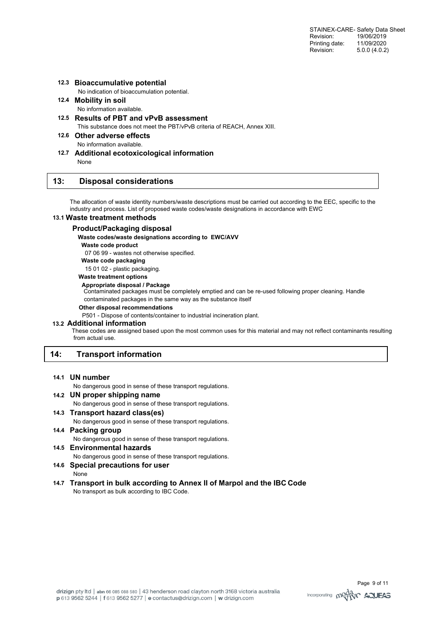## **12.3 Bioaccumulative potential**

No indication of bioaccumulation potential.

- **12.4 Mobility in soil**  No information available.
- **12.5 Results of PBT and vPvB assessment**  This substance does not meet the PBT/vPvB criteria of REACH, Annex XIII.

**12.6 Other adverse effects**  No information available.

**12.7 Additional ecotoxicological information**  None

## **13: Disposal considerations**

The allocation of waste identity numbers/waste descriptions must be carried out according to the EEC, specific to the industry and process. List of proposed waste codes/waste designations in accordance with EWC

### **13.1 Waste treatment methods**

#### **Product/Packaging disposal**

**Waste codes/waste designations according to EWC/AVV** 

**Waste code product** 

07 06 99 - wastes not otherwise specified.

**Waste code packaging** 

15 01 02 - plastic packaging.

**Waste treatment options** 

#### **Appropriate disposal / Package**

Contaminated packages must be completely emptied and can be re-used following proper cleaning. Handle contaminated packages in the same way as the substance itself

#### **Other disposal recommendations**

P501 - Dispose of contents/container to industrial incineration plant.

#### **13.2 Additional information**

 These codes are assigned based upon the most common uses for this material and may not reflect contaminants resulting from actual use.

# **14: Transport information**

## **14.1 UN number**

No dangerous good in sense of these transport regulations.

# **14.2 UN proper shipping name**

No dangerous good in sense of these transport regulations.

- **14.3 Transport hazard class(es)**  No dangerous good in sense of these transport regulations.
- **14.4 Packing group**  No dangerous good in sense of these transport regulations.
- **14.5 Environmental hazards**  No dangerous good in sense of these transport regulations.
- **14.6 Special precautions for user**
- None
- **14.7 Transport in bulk according to Annex II of Marpol and the IBC Code**  No transport as bulk according to IBC Code.

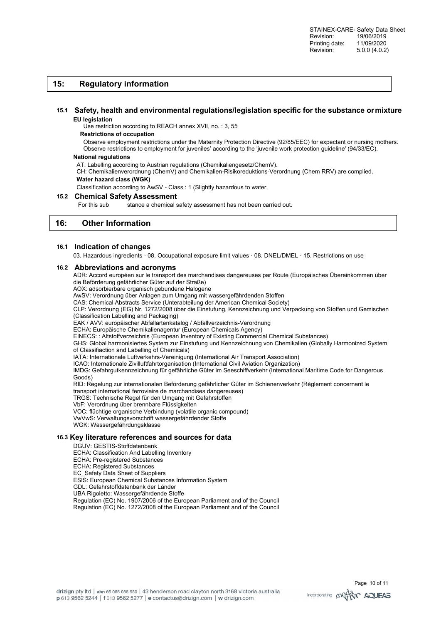## **15: Regulatory information**

#### **15.1 Safety, health and environmental regulations/legislation specific for the substance or mixture EU legislation**

## Use restriction according to REACH annex XVII, no. : 3, 55

#### **Restrictions of occupation**

Observe employment restrictions under the Maternity Protection Directive (92/85/EEC) for expectant or nursing mothers. Observe restrictions to employment for juveniles' according to the 'juvenile work protection guideline' (94/33/EC).

#### **National regulations**

AT: Labelling according to Austrian regulations (Chemikaliengesetz/ChemV).

CH: Chemikalienverordnung (ChemV) and Chemikalien-Risikoreduktions-Verordnung (Chem RRV) are complied. **Water hazard class (WGK)** 

Classification according to AwSV - Class : 1 (Slightly hazardous to water.

### **15.2 Chemical Safety Assessment**

For this sub stance a chemical safety assessment has not been carried out.

## **16: Other Information**

#### **16.1 Indication of changes**

03. Hazardous ingredients · 08. Occupational exposure limit values · 08. DNEL/DMEL · 15. Restrictions on use

#### **16.2 Abbreviations and acronyms**

ADR: Accord européen sur le transport des marchandises dangereuses par Route (Europäisches Übereinkommen über die Beförderung gefährlicher Güter auf der Straße)

AOX: adsorbierbare organisch gebundene Halogene

AwSV: Verordnung über Anlagen zum Umgang mit wassergefährdenden Stoffen

CAS: Chemical Abstracts Service (Unterabteilung der American Chemical Society)

CLP: Verordnung (EG) Nr. 1272/2008 über die Einstufung, Kennzeichnung und Verpackung von Stoffen und Gemischen

(Classification Labelling and Packaging)

EAK / AVV: europäischer Abfallartenkatalog / Abfallverzeichnis-Verordnung

ECHA: Europäische Chemikalienagentur (European Chemicals Agency)

EINECS: : Altstoffverzeichnis (European Inventory of Existing Commercial Chemical Substances)

GHS: Global harmonisiertes System zur Einstufung und Kennzeichnung von Chemikalien (Globally Harmonized System of Classifiaction and Labelling of Chemicals)

IATA: Internationale Luftverkehrs-Vereinigung (International Air Transport Association)

ICAO: Internationale Zivilluftfahrtorganisation (International Civil Aviation Organization)

IMDG: Gefahrgutkennzeichnung für gefährliche Güter im Seeschiffverkehr (International Maritime Code for Dangerous Goods)

RID: Regelung zur internationalen Beförderung gefährlicher Güter im Schienenverkehr (Règlement concernant le

transport international ferroviaire de marchandises dangereuses)

TRGS: Technische Regel für den Umgang mit Gefahrstoffen

VbF: Verordnung über brennbare Flüssigkeiten

VOC: flüchtige organische Verbindung (volatile organic compound) VwVwS: Verwaltungsvorschrift wassergefährdender Stoffe

WGK: Wassergefährdungsklasse

## **16.3 Key literature references and sources for data**

- DGUV: GESTIS-Stoffdatenbank
- ECHA: Classification And Labelling Inventory
- ECHA: Pre-registered Substances
- ECHA: Registered Substances
- EC\_Safety Data Sheet of Suppliers
- ESIS: European Chemical Substances Information System
- GDL: Gefahrstoffdatenbank der Länder

UBA Rigoletto: Wassergefährdende Stoffe

Regulation (EC) No. 1907/2006 of the European Parliament and of the Council Regulation (EC) No. 1272/2008 of the European Parliament and of the Council